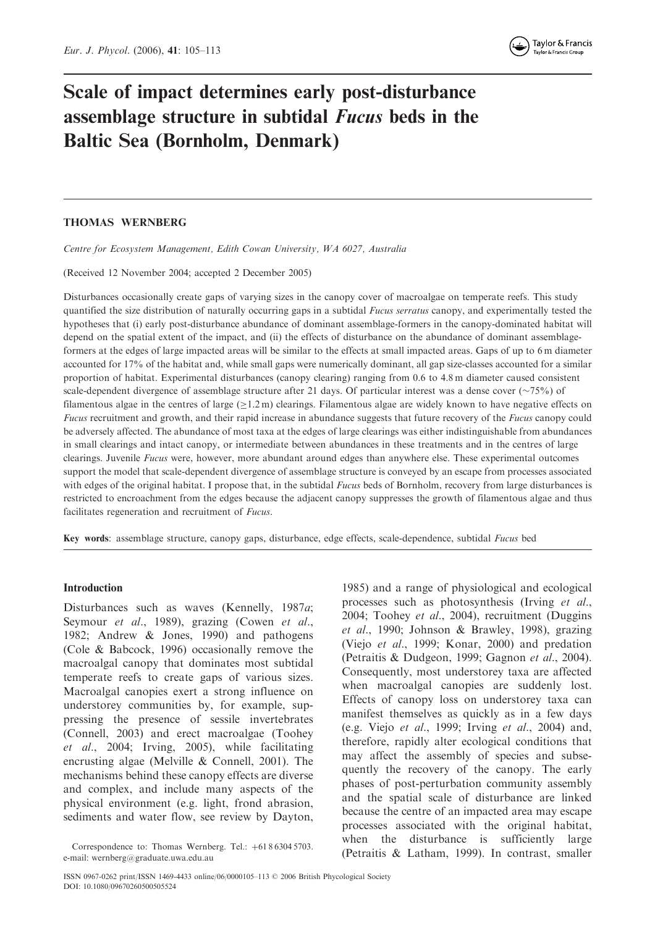# Scale of impact determines early post-disturbance assemblage structure in subtidal Fucus beds in the Baltic Sea (Bornholm, Denmark)

## THOMAS WERNBERG

Centre for Ecosystem Management, Edith Cowan University, WA 6027, Australia

(Received 12 November 2004; accepted 2 December 2005)

Disturbances occasionally create gaps of varying sizes in the canopy cover of macroalgae on temperate reefs. This study quantified the size distribution of naturally occurring gaps in a subtidal Fucus serratus canopy, and experimentally tested the hypotheses that (i) early post-disturbance abundance of dominant assemblage-formers in the canopy-dominated habitat will depend on the spatial extent of the impact, and (ii) the effects of disturbance on the abundance of dominant assemblageformers at the edges of large impacted areas will be similar to the effects at small impacted areas. Gaps of up to 6 m diameter accounted for 17% of the habitat and, while small gaps were numerically dominant, all gap size-classes accounted for a similar proportion of habitat. Experimental disturbances (canopy clearing) ranging from 0.6 to 4.8 m diameter caused consistent scale-dependent divergence of assemblage structure after 21 days. Of particular interest was a dense cover  $(\sim 75\%)$  of filamentous algae in the centres of large  $(\geq 1.2 \text{ m})$  clearings. Filamentous algae are widely known to have negative effects on Fucus recruitment and growth, and their rapid increase in abundance suggests that future recovery of the Fucus canopy could be adversely affected. The abundance of most taxa at the edges of large clearings was either indistinguishable from abundances in small clearings and intact canopy, or intermediate between abundances in these treatments and in the centres of large clearings. Juvenile Fucus were, however, more abundant around edges than anywhere else. These experimental outcomes support the model that scale-dependent divergence of assemblage structure is conveyed by an escape from processes associated with edges of the original habitat. I propose that, in the subtidal Fucus beds of Bornholm, recovery from large disturbances is restricted to encroachment from the edges because the adjacent canopy suppresses the growth of filamentous algae and thus facilitates regeneration and recruitment of Fucus.

Key words: assemblage structure, canopy gaps, disturbance, edge effects, scale-dependence, subtidal Fucus bed

## Introduction

Disturbances such as waves (Kennelly, 1987a; Seymour et al., 1989), grazing (Cowen et al., 1982; Andrew & Jones, 1990) and pathogens (Cole & Babcock, 1996) occasionally remove the macroalgal canopy that dominates most subtidal temperate reefs to create gaps of various sizes. Macroalgal canopies exert a strong influence on understorey communities by, for example, suppressing the presence of sessile invertebrates (Connell, 2003) and erect macroalgae (Toohey et al., 2004; Irving, 2005), while facilitating encrusting algae (Melville & Connell, 2001). The mechanisms behind these canopy effects are diverse and complex, and include many aspects of the physical environment (e.g. light, frond abrasion, sediments and water flow, see review by Dayton,

processes such as photosynthesis (Irving et al., 2004; Toohey et al., 2004), recruitment (Duggins et al., 1990; Johnson & Brawley, 1998), grazing (Viejo et al., 1999; Konar, 2000) and predation (Petraitis & Dudgeon, 1999; Gagnon et al., 2004). Consequently, most understorey taxa are affected when macroalgal canopies are suddenly lost. Effects of canopy loss on understorey taxa can manifest themselves as quickly as in a few days (e.g. Viejo et al., 1999; Irving et al., 2004) and, therefore, rapidly alter ecological conditions that may affect the assembly of species and subsequently the recovery of the canopy. The early phases of post-perturbation community assembly and the spatial scale of disturbance are linked because the centre of an impacted area may escape processes associated with the original habitat, when the disturbance is sufficiently large

1985) and a range of physiological and ecological

Correspondence to: Thomas Wernberg. Tel.:  $+61863045703$ . (Petraitis & Latham, 1999). In contrast, smaller e-mail: wernberg@graduate.uwa.edu.au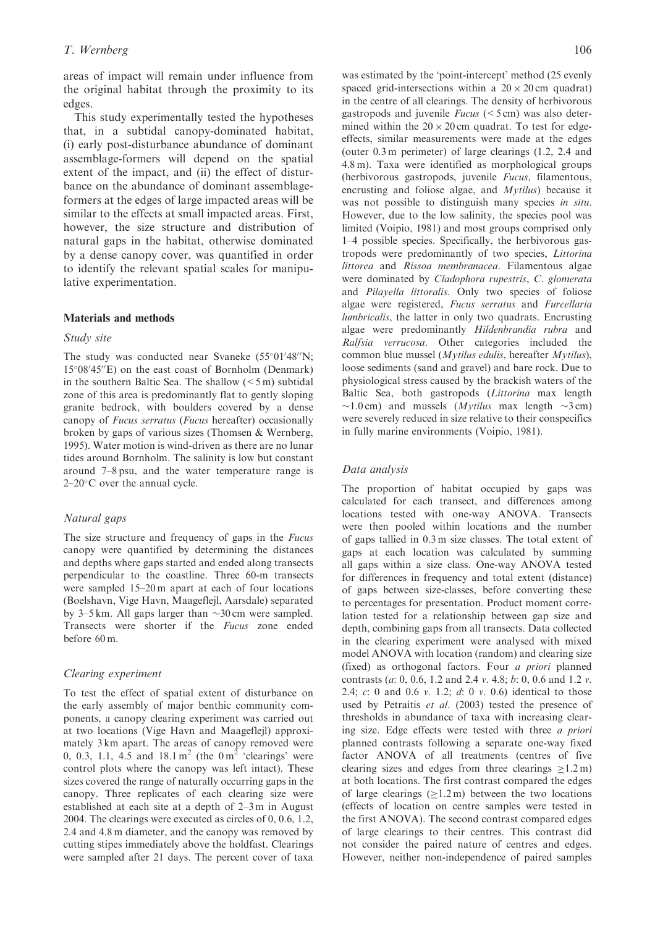areas of impact will remain under influence from the original habitat through the proximity to its edges.

This study experimentally tested the hypotheses that, in a subtidal canopy-dominated habitat, (i) early post-disturbance abundance of dominant assemblage-formers will depend on the spatial extent of the impact, and (ii) the effect of disturbance on the abundance of dominant assemblageformers at the edges of large impacted areas will be similar to the effects at small impacted areas. First, however, the size structure and distribution of natural gaps in the habitat, otherwise dominated by a dense canopy cover, was quantified in order to identify the relevant spatial scales for manipulative experimentation.

## Materials and methods

### Study site

The study was conducted near Svaneke  $(55°01'48''N;$ 15°08'45"E) on the east coast of Bornholm (Denmark) in the southern Baltic Sea. The shallow  $(< 5 \,\mathrm{m})$  subtidal zone of this area is predominantly flat to gently sloping granite bedrock, with boulders covered by a dense canopy of Fucus serratus (Fucus hereafter) occasionally broken by gaps of various sizes (Thomsen & Wernberg, 1995). Water motion is wind-driven as there are no lunar tides around Bornholm. The salinity is low but constant around 7–8 psu, and the water temperature range is  $2-20$ °C over the annual cycle.

#### Natural gaps

The size structure and frequency of gaps in the *Fucus* canopy were quantified by determining the distances and depths where gaps started and ended along transects perpendicular to the coastline. Three 60-m transects were sampled 15–20 m apart at each of four locations (Boelshavn, Vige Havn, Maageflejl, Aarsdale) separated by 3–5 km. All gaps larger than  $\sim$ 30 cm were sampled. Transects were shorter if the Fucus zone ended before 60 m.

#### Clearing experiment

To test the effect of spatial extent of disturbance on the early assembly of major benthic community components, a canopy clearing experiment was carried out at two locations (Vige Havn and Maageflejl) approximately 3 km apart. The areas of canopy removed were 0, 0.3, 1.1, 4.5 and  $18.1 \text{ m}^2$  (the  $0 \text{ m}^2$  'clearings' were control plots where the canopy was left intact). These sizes covered the range of naturally occurring gaps in the canopy. Three replicates of each clearing size were established at each site at a depth of 2–3 m in August 2004. The clearings were executed as circles of 0, 0.6, 1.2, 2.4 and 4.8 m diameter, and the canopy was removed by cutting stipes immediately above the holdfast. Clearings were sampled after 21 days. The percent cover of taxa

was estimated by the 'point-intercept' method (25 evenly spaced grid-intersections within a  $20 \times 20$  cm quadrat) in the centre of all clearings. The density of herbivorous gastropods and juvenile  $Fucus$  ( $\leq$ 5 cm) was also determined within the  $20 \times 20$  cm quadrat. To test for edgeeffects, similar measurements were made at the edges (outer 0.3 m perimeter) of large clearings (1.2, 2.4 and 4.8 m). Taxa were identified as morphological groups (herbivorous gastropods, juvenile Fucus, filamentous, encrusting and foliose algae, and Mytilus) because it was not possible to distinguish many species in situ. However, due to the low salinity, the species pool was limited (Voipio, 1981) and most groups comprised only 1–4 possible species. Specifically, the herbivorous gastropods were predominantly of two species, Littorina littorea and Rissoa membranacea. Filamentous algae were dominated by Cladophora rupestris, C. glomerata and Pilayella littoralis. Only two species of foliose algae were registered, Fucus serratus and Furcellaria lumbricalis, the latter in only two quadrats. Encrusting algae were predominantly Hildenbrandia rubra and Ralfsia verrucosa. Other categories included the common blue mussel (Mytilus edulis, hereafter Mytilus), loose sediments (sand and gravel) and bare rock. Due to physiological stress caused by the brackish waters of the Baltic Sea, both gastropods (Littorina max length  $\sim$ 1.0 cm) and mussels (*Mytilus* max length  $\sim$ 3 cm) were severely reduced in size relative to their conspecifics in fully marine environments (Voipio, 1981).

### Data analysis

The proportion of habitat occupied by gaps was calculated for each transect, and differences among locations tested with one-way ANOVA. Transects were then pooled within locations and the number of gaps tallied in 0.3 m size classes. The total extent of gaps at each location was calculated by summing all gaps within a size class. One-way ANOVA tested for differences in frequency and total extent (distance) of gaps between size-classes, before converting these to percentages for presentation. Product moment correlation tested for a relationship between gap size and depth, combining gaps from all transects. Data collected in the clearing experiment were analysed with mixed model ANOVA with location (random) and clearing size (fixed) as orthogonal factors. Four a priori planned contrasts (a: 0, 0.6, 1.2 and 2.4 v. 4.8; b: 0, 0.6 and 1.2 v. 2.4; c: 0 and 0.6 v. 1.2; d: 0 v. 0.6) identical to those used by Petraitis et al. (2003) tested the presence of thresholds in abundance of taxa with increasing clearing size. Edge effects were tested with three a priori planned contrasts following a separate one-way fixed factor ANOVA of all treatments (centres of five clearing sizes and edges from three clearings  $\geq 1.2 \text{ m}$ ) at both locations. The first contrast compared the edges of large clearings  $(\geq 1.2 \text{ m})$  between the two locations (effects of location on centre samples were tested in the first ANOVA). The second contrast compared edges of large clearings to their centres. This contrast did not consider the paired nature of centres and edges. However, neither non-independence of paired samples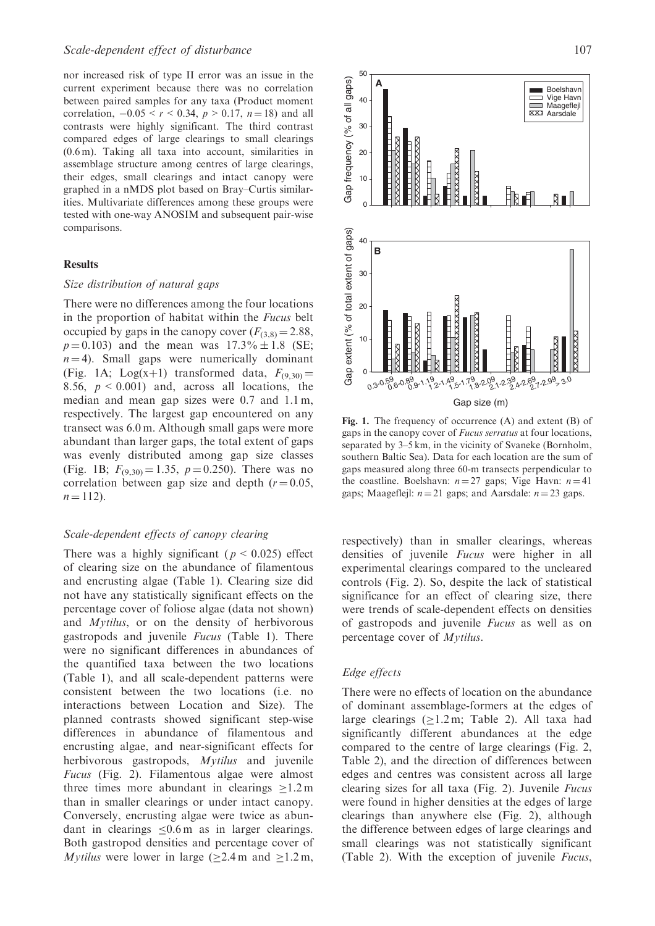nor increased risk of type II error was an issue in the current experiment because there was no correlation between paired samples for any taxa (Product moment correlation,  $-0.05 < r < 0.34$ ,  $p > 0.17$ ,  $n = 18$ ) and all contrasts were highly significant. The third contrast compared edges of large clearings to small clearings (0.6 m). Taking all taxa into account, similarities in assemblage structure among centres of large clearings, their edges, small clearings and intact canopy were graphed in a nMDS plot based on Bray–Curtis similarities. Multivariate differences among these groups were tested with one-way ANOSIM and subsequent pair-wise comparisons.

#### **Results**

## Size distribution of natural gaps

There were no differences among the four locations in the proportion of habitat within the Fucus belt occupied by gaps in the canopy cover  $(F_{(3,8)} = 2.88,$  $p = 0.103$ ) and the mean was  $17.3\% \pm 1.8$  (SE;  $n = 4$ ). Small gaps were numerically dominant (Fig. 1A; Log(x+1) transformed data,  $F_{(9,30)} =$ 8.56,  $p < 0.001$ ) and, across all locations, the median and mean gap sizes were 0.7 and 1.1 m, respectively. The largest gap encountered on any transect was 6.0 m. Although small gaps were more abundant than larger gaps, the total extent of gaps was evenly distributed among gap size classes (Fig. 1B;  $F_{(9,30)} = 1.35$ ,  $p = 0.250$ ). There was no correlation between gap size and depth  $(r = 0.05,$  $n = 112$ .

## Scale-dependent effects of canopy clearing

There was a highly significant ( $p \le 0.025$ ) effect of clearing size on the abundance of filamentous and encrusting algae (Table 1). Clearing size did not have any statistically significant effects on the percentage cover of foliose algae (data not shown) and Mytilus, or on the density of herbivorous gastropods and juvenile Fucus (Table 1). There were no significant differences in abundances of the quantified taxa between the two locations (Table 1), and all scale-dependent patterns were consistent between the two locations (i.e. no interactions between Location and Size). The planned contrasts showed significant step-wise differences in abundance of filamentous and encrusting algae, and near-significant effects for herbivorous gastropods, Mytilus and juvenile Fucus (Fig. 2). Filamentous algae were almost three times more abundant in clearings  $\geq 1.2$  m than in smaller clearings or under intact canopy. Conversely, encrusting algae were twice as abundant in clearings  $\leq 0.6$  m as in larger clearings. Both gastropod densities and percentage cover of *Mytilus* were lower in large ( $\geq$ 2.4m and  $\geq$ 1.2m,



Fig. 1. The frequency of occurrence (A) and extent (B) of gaps in the canopy cover of Fucus serratus at four locations, separated by 3–5 km, in the vicinity of Svaneke (Bornholm, southern Baltic Sea). Data for each location are the sum of gaps measured along three 60-m transects perpendicular to the coastline. Boelshavn:  $n = 27$  gaps; Vige Havn:  $n = 41$ gaps; Maageflejl:  $n = 21$  gaps; and Aarsdale:  $n = 23$  gaps.

respectively) than in smaller clearings, whereas densities of juvenile Fucus were higher in all experimental clearings compared to the uncleared controls (Fig. 2). So, despite the lack of statistical significance for an effect of clearing size, there were trends of scale-dependent effects on densities of gastropods and juvenile Fucus as well as on percentage cover of Mytilus.

## Edge effects

There were no effects of location on the abundance of dominant assemblage-formers at the edges of large clearings  $(\geq 1.2 \text{ m}; \text{ Table } 2)$ . All taxa had significantly different abundances at the edge compared to the centre of large clearings (Fig. 2, Table 2), and the direction of differences between edges and centres was consistent across all large clearing sizes for all taxa (Fig. 2). Juvenile Fucus were found in higher densities at the edges of large clearings than anywhere else (Fig. 2), although the difference between edges of large clearings and small clearings was not statistically significant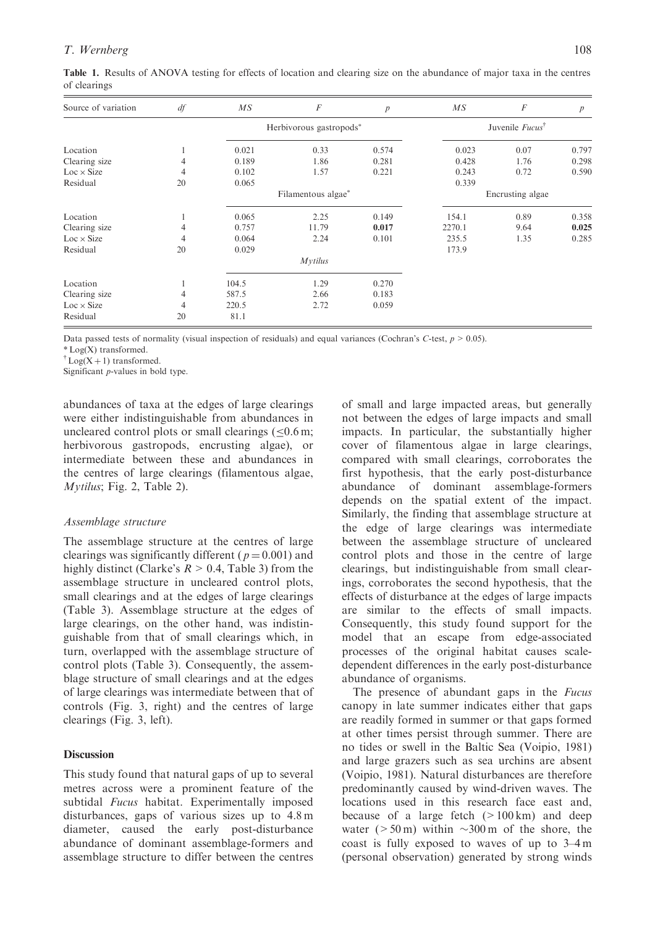| Source of variation | df | $\overline{MS}$         | $\boldsymbol{F}$ | $\boldsymbol{p}$                   | $\overline{MS}$  | F    | $\boldsymbol{p}$ |
|---------------------|----|-------------------------|------------------|------------------------------------|------------------|------|------------------|
|                     |    | Herbivorous gastropods* |                  | Juvenile <i>Fucus</i> <sup>†</sup> |                  |      |                  |
| Location            |    | 0.021                   | 0.33             | 0.574                              | 0.023            | 0.07 | 0.797            |
| Clearing size       | 4  | 0.189                   | 1.86             | 0.281                              | 0.428            | 1.76 | 0.298            |
| $Loc \times Size$   | 4  | 0.102                   | 1.57             | 0.221                              | 0.243            | 0.72 | 0.590            |
| Residual            | 20 | 0.065                   |                  |                                    | 0.339            |      |                  |
|                     |    | Filamentous algae*      |                  |                                    | Encrusting algae |      |                  |
| Location            |    | 0.065                   | 2.25             | 0.149                              | 154.1            | 0.89 | 0.358            |
| Clearing size       | 4  | 0.757                   | 11.79            | 0.017                              | 2270.1           | 9.64 | 0.025            |
| $Loc \times Size$   | 4  | 0.064                   | 2.24             | 0.101                              | 235.5            | 1.35 | 0.285            |
| Residual            | 20 | 0.029                   |                  |                                    | 173.9            |      |                  |
|                     |    |                         | <b>Mytilus</b>   |                                    |                  |      |                  |

Table 1. Results of ANOVA testing for effects of location and clearing size on the abundance of major taxa in the centres of clearings

Data passed tests of normality (visual inspection of residuals) and equal variances (Cochran's C-test,  $p > 0.05$ ).

Location 1 104.5 1.29 0.270 Clearing size  $\begin{array}{cccc} 4 & 587.5 & 2.66 & 0.183 \\ \text{Loc} \times \text{Size} & 4 & 220.5 & 2.72 & 0.059 \end{array}$  $Loc \times Size$  4 220.5 2.72 0.059

\* Log(X) transformed.

<sup>†</sup>Log(X + 1) transformed.

Significant p-values in bold type.

Residual 20 81.1

abundances of taxa at the edges of large clearings were either indistinguishable from abundances in uncleared control plots or small clearings  $( $0.6 \text{ m}$ )$ herbivorous gastropods, encrusting algae), or intermediate between these and abundances in the centres of large clearings (filamentous algae, Mytilus; Fig. 2, Table 2).

## Assemblage structure

The assemblage structure at the centres of large clearings was significantly different ( $p = 0.001$ ) and highly distinct (Clarke's  $R > 0.4$ , Table 3) from the assemblage structure in uncleared control plots, small clearings and at the edges of large clearings (Table 3). Assemblage structure at the edges of large clearings, on the other hand, was indistinguishable from that of small clearings which, in turn, overlapped with the assemblage structure of control plots (Table 3). Consequently, the assemblage structure of small clearings and at the edges of large clearings was intermediate between that of controls (Fig. 3, right) and the centres of large clearings (Fig. 3, left).

#### **Discussion**

This study found that natural gaps of up to several metres across were a prominent feature of the subtidal *Fucus* habitat. Experimentally imposed disturbances, gaps of various sizes up to 4.8 m diameter, caused the early post-disturbance abundance of dominant assemblage-formers and assemblage structure to differ between the centres

of small and large impacted areas, but generally not between the edges of large impacts and small impacts. In particular, the substantially higher cover of filamentous algae in large clearings, compared with small clearings, corroborates the first hypothesis, that the early post-disturbance abundance of dominant assemblage-formers depends on the spatial extent of the impact. Similarly, the finding that assemblage structure at the edge of large clearings was intermediate between the assemblage structure of uncleared control plots and those in the centre of large clearings, but indistinguishable from small clearings, corroborates the second hypothesis, that the effects of disturbance at the edges of large impacts are similar to the effects of small impacts. Consequently, this study found support for the model that an escape from edge-associated processes of the original habitat causes scaledependent differences in the early post-disturbance abundance of organisms.

The presence of abundant gaps in the *Fucus* canopy in late summer indicates either that gaps are readily formed in summer or that gaps formed at other times persist through summer. There are no tides or swell in the Baltic Sea (Voipio, 1981) and large grazers such as sea urchins are absent (Voipio, 1981). Natural disturbances are therefore predominantly caused by wind-driven waves. The locations used in this research face east and, because of a large fetch  $(>100 \text{ km})$  and deep water ( $> 50 \text{ m}$ ) within  $\sim 300 \text{ m}$  of the shore, the coast is fully exposed to waves of up to 3–4 m (personal observation) generated by strong winds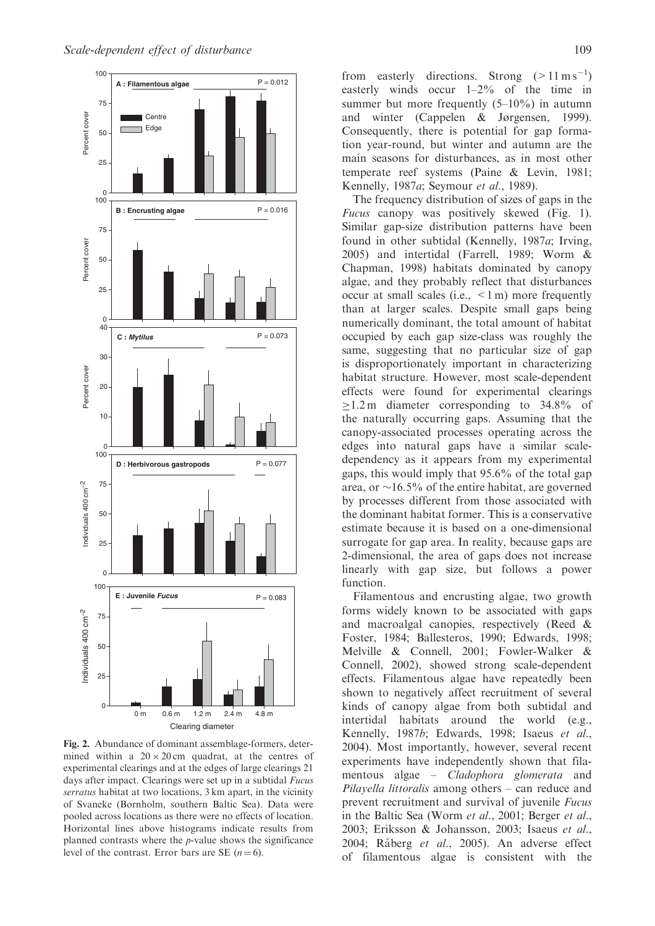

Fig. 2. Abundance of dominant assemblage-formers, determined within a  $20 \times 20$  cm quadrat, at the centres of experimental clearings and at the edges of large clearings 21 days after impact. Clearings were set up in a subtidal *Fucus* serratus habitat at two locations, 3 km apart, in the vicinity of Svaneke (Bornholm, southern Baltic Sea). Data were pooled across locations as there were no effects of location. Horizontal lines above histograms indicate results from planned contrasts where the  $p$ -value shows the significance level of the contrast. Error bars are SE  $(n=6)$ .

from easterly directions. Strong  $(>11 \text{ m s}^{-1})$ easterly winds occur 1–2% of the time in summer but more frequently  $(5-10\%)$  in autumn and winter (Cappelen & Jørgensen, 1999). Consequently, there is potential for gap formation year-round, but winter and autumn are the main seasons for disturbances, as in most other temperate reef systems (Paine & Levin, 1981; Kennelly, 1987a; Seymour et al., 1989).

The frequency distribution of sizes of gaps in the Fucus canopy was positively skewed (Fig. 1). Similar gap-size distribution patterns have been found in other subtidal (Kennelly, 1987a; Irving, 2005) and intertidal (Farrell, 1989; Worm & Chapman, 1998) habitats dominated by canopy algae, and they probably reflect that disturbances occur at small scales (i.e.,  $\leq 1$  m) more frequently than at larger scales. Despite small gaps being numerically dominant, the total amount of habitat occupied by each gap size-class was roughly the same, suggesting that no particular size of gap is disproportionately important in characterizing habitat structure. However, most scale-dependent effects were found for experimental clearings  $\geq$ 1.2 m diameter corresponding to 34.8% of the naturally occurring gaps. Assuming that the canopy-associated processes operating across the edges into natural gaps have a similar scaledependency as it appears from my experimental gaps, this would imply that 95.6% of the total gap area, or  $\sim$ 16.5% of the entire habitat, are governed by processes different from those associated with the dominant habitat former. This is a conservative estimate because it is based on a one-dimensional surrogate for gap area. In reality, because gaps are 2-dimensional, the area of gaps does not increase linearly with gap size, but follows a power function.

Filamentous and encrusting algae, two growth forms widely known to be associated with gaps and macroalgal canopies, respectively (Reed & Foster, 1984; Ballesteros, 1990; Edwards, 1998; Melville & Connell, 2001; Fowler-Walker & Connell, 2002), showed strong scale-dependent effects. Filamentous algae have repeatedly been shown to negatively affect recruitment of several kinds of canopy algae from both subtidal and intertidal habitats around the world (e.g., Kennelly, 1987b; Edwards, 1998; Isaeus et al., 2004). Most importantly, however, several recent experiments have independently shown that filamentous algae – Cladophora glomerata and Pilayella littoralis among others – can reduce and prevent recruitment and survival of juvenile Fucus in the Baltic Sea (Worm et al., 2001; Berger et al., 2003; Eriksson & Johansson, 2003; Isaeus et al., 2004; Råberg et al., 2005). An adverse effect of filamentous algae is consistent with the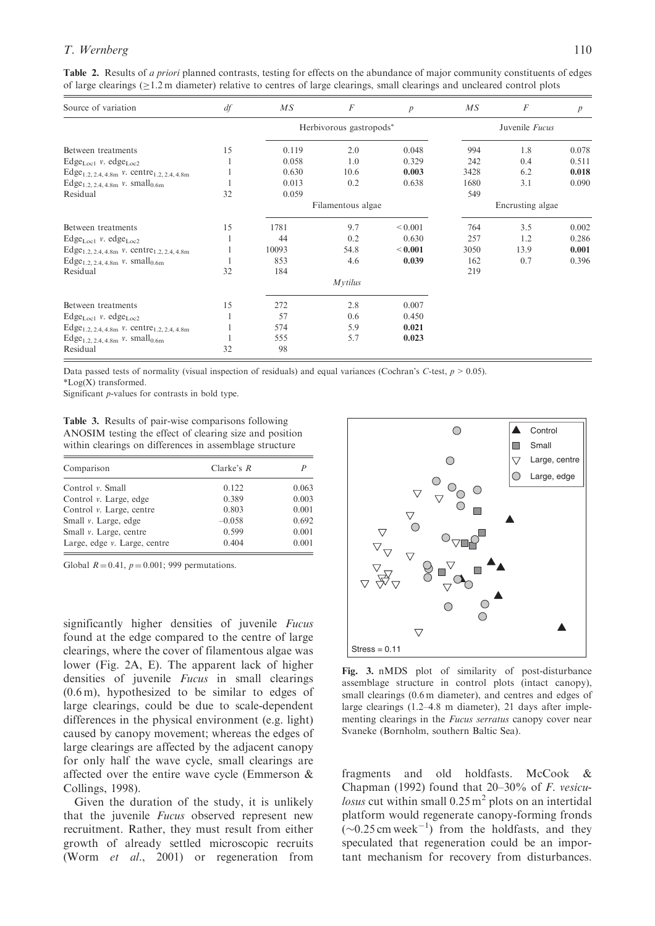## T. Wernberg 110

Table 2. Results of *a priori* planned contrasts, testing for effects on the abundance of major community constituents of edges of large clearings  $(\geq 1.2 \text{ m}$  diameter) relative to centres of large clearings, small clearings and uncleared control plots

| Source of variation                                                     | df | $\overline{MS}$         | F              | $\boldsymbol{p}$ | $\overline{MS}$  | $\boldsymbol{F}$ | $\overline{p}$ |
|-------------------------------------------------------------------------|----|-------------------------|----------------|------------------|------------------|------------------|----------------|
|                                                                         |    | Herbivorous gastropods* |                |                  | Juvenile Fucus   |                  |                |
| Between treatments                                                      | 15 | 0.119                   | 2.0            | 0.048            | 994              | 1.8              | 0.078          |
| $Edge_{Loc1}$ v. edge <sub>Loc2</sub>                                   |    | 0.058                   | 1.0            | 0.329            | 242              | 0.4              | 0.511          |
| Edge <sub>1.2, 2.4, 4.8m</sub> v. centre <sub>1.2, 2.4, 4.8m</sub>      |    | 0.630                   | 10.6           | 0.003            | 3428             | 6.2              | 0.018          |
| Edge <sub>1.2, 2,4, 4,8m</sub> $\nu$ . small <sub>0.6m</sub>            |    | 0.013                   | 0.2            | 0.638            | 1680             | 3.1              | 0.090          |
| Residual                                                                | 32 | 0.059                   |                |                  | 549              |                  |                |
|                                                                         |    | Filamentous algae       |                |                  | Encrusting algae |                  |                |
| Between treatments                                                      | 15 | 1781                    | 9.7            | ${}_{0.001}$     | 764              | 3.5              | 0.002          |
| $Edge_{Loc1}$ v. edge <sub>Loc2</sub>                                   |    | 44                      | 0.2            | 0.630            | 257              | 1.2              | 0.286          |
| Edge <sub>1.2, 2.4, 4.8m</sub> v. centre <sub>1.2, 2.4, 4.8m</sub>      |    | 10093                   | 54.8           | < 0.001          | 3050             | 13.9             | 0.001          |
| Edge <sub>1.2, 2.4, 4.8m</sub> $v$ . small <sub>0.6m</sub>              |    | 853                     | 4.6            | 0.039            | 162              | 0.7              | 0.396          |
| Residual                                                                | 32 | 184                     |                |                  | 219              |                  |                |
|                                                                         |    |                         | <i>Mytilus</i> |                  |                  |                  |                |
| Between treatments                                                      | 15 | 272                     | 2.8            | 0.007            |                  |                  |                |
| $Edge_{Loc1}$ v. edge <sub>Loc2</sub>                                   |    | 57                      | 0.6            | 0.450            |                  |                  |                |
| Edge <sub>1.2, 2.4, 4.8m</sub> $\nu$ . centre <sub>1.2, 2.4, 4.8m</sub> |    | 574                     | 5.9            | 0.021            |                  |                  |                |
| Edge <sub>1.2, 2.4, 4.8m</sub> $v$ . small <sub>0.6m</sub>              |    | 555                     | 5.7            | 0.023            |                  |                  |                |
| Residual                                                                | 32 | 98                      |                |                  |                  |                  |                |

Data passed tests of normality (visual inspection of residuals) and equal variances (Cochran's C-test,  $p > 0.05$ ). \*Log(X) transformed.

Significant p-values for contrasts in bold type.

Table 3. Results of pair-wise comparisons following ANOSIM testing the effect of clearing size and position within clearings on differences in assemblage structure

| Comparison                   | Clarke's $R$ |       |  |
|------------------------------|--------------|-------|--|
| Control $\nu$ . Small        | 0.122        | 0.063 |  |
| Control v. Large, edge       | 0.389        | 0.003 |  |
| Control v. Large, centre     | 0.803        | 0.001 |  |
| Small v. Large, edge         | $-0.058$     | 0.692 |  |
| Small v. Large, centre       | 0.599        | 0.001 |  |
| Large, edge v. Large, centre | 0.404        | 0.001 |  |

Global  $R = 0.41$ ,  $p = 0.001$ ; 999 permutations.

significantly higher densities of juvenile Fucus found at the edge compared to the centre of large clearings, where the cover of filamentous algae was lower (Fig. 2A, E). The apparent lack of higher densities of juvenile Fucus in small clearings (0.6 m), hypothesized to be similar to edges of large clearings, could be due to scale-dependent differences in the physical environment (e.g. light) caused by canopy movement; whereas the edges of large clearings are affected by the adjacent canopy for only half the wave cycle, small clearings are affected over the entire wave cycle (Emmerson & Collings, 1998).

Given the duration of the study, it is unlikely that the juvenile Fucus observed represent new recruitment. Rather, they must result from either growth of already settled microscopic recruits (Worm et al., 2001) or regeneration from



Fig. 3. nMDS plot of similarity of post-disturbance assemblage structure in control plots (intact canopy), small clearings (0.6 m diameter), and centres and edges of large clearings (1.2–4.8 m diameter), 21 days after implementing clearings in the *Fucus serratus* canopy cover near Svaneke (Bornholm, southern Baltic Sea).

fragments and old holdfasts. McCook & Chapman (1992) found that 20–30% of F. vesicu*losus* cut within small  $0.25 \text{ m}^2$  plots on an intertidal platform would regenerate canopy-forming fronds  $(-0.25 \text{ cm week}^{-1})$  from the holdfasts, and they speculated that regeneration could be an important mechanism for recovery from disturbances.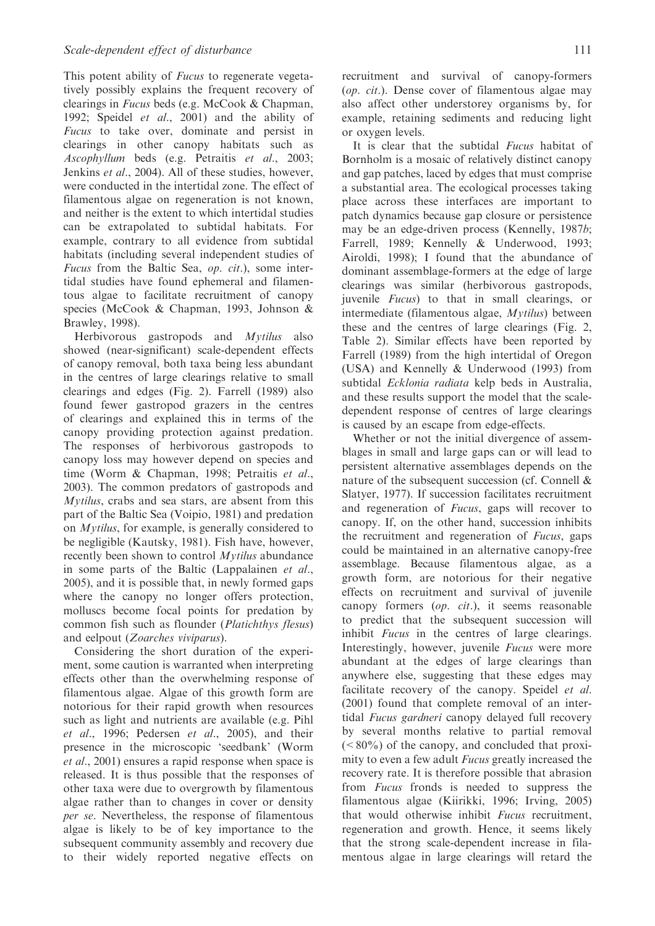This potent ability of *Fucus* to regenerate vegetatively possibly explains the frequent recovery of clearings in Fucus beds (e.g. McCook & Chapman, 1992; Speidel et al., 2001) and the ability of Fucus to take over, dominate and persist in clearings in other canopy habitats such as Ascophyllum beds (e.g. Petraitis et al., 2003; Jenkins et al., 2004). All of these studies, however, were conducted in the intertidal zone. The effect of filamentous algae on regeneration is not known, and neither is the extent to which intertidal studies can be extrapolated to subtidal habitats. For example, contrary to all evidence from subtidal habitats (including several independent studies of Fucus from the Baltic Sea, op. cit.), some intertidal studies have found ephemeral and filamentous algae to facilitate recruitment of canopy species (McCook & Chapman, 1993, Johnson & Brawley, 1998).

Herbivorous gastropods and *Mytilus* also showed (near-significant) scale-dependent effects of canopy removal, both taxa being less abundant in the centres of large clearings relative to small clearings and edges (Fig. 2). Farrell (1989) also found fewer gastropod grazers in the centres of clearings and explained this in terms of the canopy providing protection against predation. The responses of herbivorous gastropods to canopy loss may however depend on species and time (Worm & Chapman, 1998; Petraitis et al., 2003). The common predators of gastropods and Mytilus, crabs and sea stars, are absent from this part of the Baltic Sea (Voipio, 1981) and predation on Mytilus, for example, is generally considered to be negligible (Kautsky, 1981). Fish have, however, recently been shown to control *Mytilus* abundance in some parts of the Baltic (Lappalainen et al., 2005), and it is possible that, in newly formed gaps where the canopy no longer offers protection, molluscs become focal points for predation by common fish such as flounder (Platichthys flesus) and eelpout (Zoarches viviparus).

Considering the short duration of the experiment, some caution is warranted when interpreting effects other than the overwhelming response of filamentous algae. Algae of this growth form are notorious for their rapid growth when resources such as light and nutrients are available (e.g. Pihl et al., 1996; Pedersen et al., 2005), and their presence in the microscopic 'seedbank' (Worm et al., 2001) ensures a rapid response when space is released. It is thus possible that the responses of other taxa were due to overgrowth by filamentous algae rather than to changes in cover or density per se. Nevertheless, the response of filamentous algae is likely to be of key importance to the subsequent community assembly and recovery due to their widely reported negative effects on

recruitment and survival of canopy-formers (op. cit.). Dense cover of filamentous algae may also affect other understorey organisms by, for example, retaining sediments and reducing light or oxygen levels.

It is clear that the subtidal *Fucus* habitat of Bornholm is a mosaic of relatively distinct canopy and gap patches, laced by edges that must comprise a substantial area. The ecological processes taking place across these interfaces are important to patch dynamics because gap closure or persistence may be an edge-driven process (Kennelly, 1987b; Farrell, 1989; Kennelly & Underwood, 1993; Airoldi, 1998); I found that the abundance of dominant assemblage-formers at the edge of large clearings was similar (herbivorous gastropods, juvenile Fucus) to that in small clearings, or intermediate (filamentous algae, Mytilus) between these and the centres of large clearings (Fig. 2, Table 2). Similar effects have been reported by Farrell (1989) from the high intertidal of Oregon (USA) and Kennelly & Underwood (1993) from subtidal Ecklonia radiata kelp beds in Australia, and these results support the model that the scaledependent response of centres of large clearings is caused by an escape from edge-effects.

Whether or not the initial divergence of assemblages in small and large gaps can or will lead to persistent alternative assemblages depends on the nature of the subsequent succession (cf. Connell & Slatyer, 1977). If succession facilitates recruitment and regeneration of Fucus, gaps will recover to canopy. If, on the other hand, succession inhibits the recruitment and regeneration of Fucus, gaps could be maintained in an alternative canopy-free assemblage. Because filamentous algae, as a growth form, are notorious for their negative effects on recruitment and survival of juvenile canopy formers (op. cit.), it seems reasonable to predict that the subsequent succession will inhibit Fucus in the centres of large clearings. Interestingly, however, juvenile Fucus were more abundant at the edges of large clearings than anywhere else, suggesting that these edges may facilitate recovery of the canopy. Speidel et al. (2001) found that complete removal of an intertidal Fucus gardneri canopy delayed full recovery by several months relative to partial removal  $(<80\%)$  of the canopy, and concluded that proximity to even a few adult Fucus greatly increased the recovery rate. It is therefore possible that abrasion from Fucus fronds is needed to suppress the filamentous algae (Kiirikki, 1996; Irving, 2005) that would otherwise inhibit Fucus recruitment, regeneration and growth. Hence, it seems likely that the strong scale-dependent increase in filamentous algae in large clearings will retard the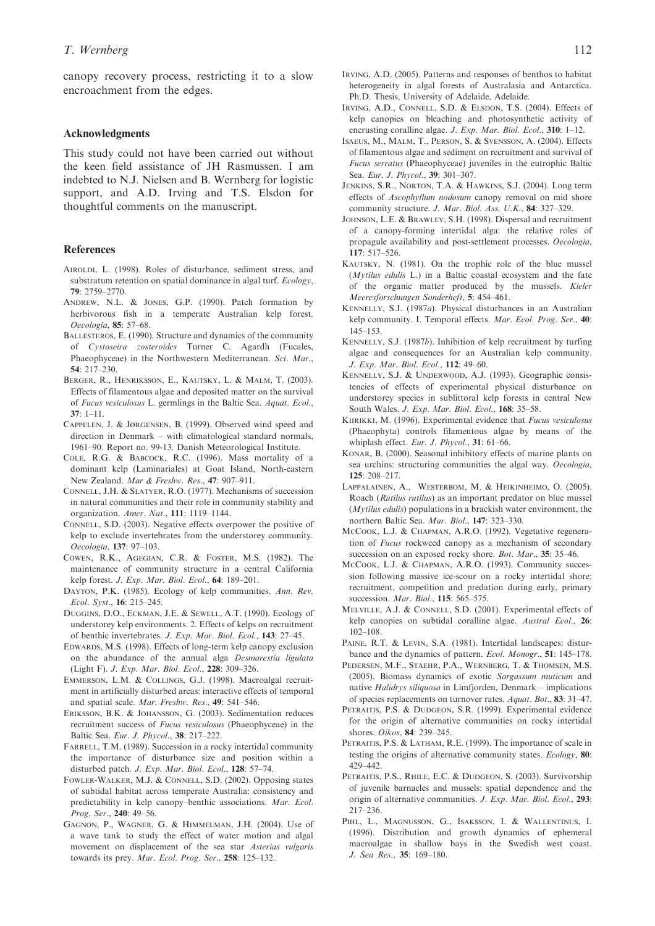canopy recovery process, restricting it to a slow encroachment from the edges.

#### Acknowledgments

This study could not have been carried out without the keen field assistance of JH Rasmussen. I am indebted to N.J. Nielsen and B. Wernberg for logistic support, and A.D. Irving and T.S. Elsdon for thoughtful comments on the manuscript.

#### References

- AIROLDI, L. (1998). Roles of disturbance, sediment stress, and substratum retention on spatial dominance in algal turf. Ecology, 79: 2759–2770.
- ANDREW, N.L. & JONES, G.P. (1990). Patch formation by herbivorous fish in a temperate Australian kelp forest. Oecologia, 85: 57–68.
- BALLESTEROS, E. (1990). Structure and dynamics of the community of Cystoseira zosteroides Turner C. Agardh (Fucales, Phaeophyceae) in the Northwestern Mediterranean. Sci. Mar., 54: 217–230.
- BERGER, R., HENRIKSSON, E., KAUTSKY, L. & MALM, T. (2003). Effects of filamentous algae and deposited matter on the survival of Fucus vesiculosus L. germlings in the Baltic Sea. Aquat. Ecol.,  $37 \cdot 1 - 11$ .
- CAPPELEN, J. & JØRGENSEN, B. (1999). Observed wind speed and direction in Denmark – with climatological standard normals, 1961–90. Report no. 99-13. Danish Meteorological Institute.
- COLE, R.G. & BABCOCK, R.C. (1996). Mass mortality of a dominant kelp (Laminariales) at Goat Island, North-eastern New Zealand. Mar & Freshw. Res., 47: 907–911.
- CONNELL, J.H. & SLATYER, R.O. (1977). Mechanisms of succession in natural communities and their role in community stability and organization. Amer. Nat., 111: 1119–1144.
- CONNELL, S.D. (2003). Negative effects overpower the positive of kelp to exclude invertebrates from the understorey community. Oecologia, 137: 97–103.
- COWEN, R.K., AGEGIAN, C.R. & FOSTER, M.S. (1982). The maintenance of community structure in a central California kelp forest. J. Exp. Mar. Biol. Ecol., 64: 189–201.
- DAYTON, P.K. (1985). Ecology of kelp communities. Ann. Rev. Ecol. Syst., 16: 215–245.
- DUGGINS, D.O., ECKMAN, J.E. & SEWELL, A.T. (1990). Ecology of understorey kelp environments. 2. Effects of kelps on recruitment of benthic invertebrates. J. Exp. Mar. Biol. Ecol., 143: 27–45.
- EDWARDS, M.S. (1998). Effects of long-term kelp canopy exclusion on the abundance of the annual alga Desmarestia ligulata (Light F). J. Exp. Mar. Biol. Ecol., 228: 309–326.
- EMMERSON, L.M. & COLLINGS, G.J. (1998). Macroalgal recruitment in artificially disturbed areas: interactive effects of temporal and spatial scale. Mar. Freshw. Res., 49: 541–546.
- ERIKSSON, B.K. & JOHANSSON, G. (2003). Sedimentation reduces recruitment success of Fucus vesiculosus (Phaeophyceae) in the Baltic Sea. Eur. J. Phycol., 38: 217–222.
- FARRELL, T.M. (1989). Succession in a rocky intertidal community the importance of disturbance size and position within a disturbed patch. J. Exp. Mar. Biol. Ecol., 128: 57–74.
- FOWLER-WALKER, M.J. & CONNELL, S.D. (2002). Opposing states of subtidal habitat across temperate Australia: consistency and predictability in kelp canopy–benthic associations. Mar. Ecol. Prog. Ser., 240: 49–56.
- GAGNON, P., WAGNER, G. & HIMMELMAN, J.H. (2004). Use of a wave tank to study the effect of water motion and algal movement on displacement of the sea star Asterias vulgaris towards its prey. Mar. Ecol. Prog. Ser., 258: 125-132.
- IRVING, A.D. (2005). Patterns and responses of benthos to habitat heterogeneity in algal forests of Australasia and Antarctica. Ph.D. Thesis, University of Adelaide, Adelaide.
- IRVING, A.D., CONNELL, S.D. & ELSDON, T.S. (2004). Effects of kelp canopies on bleaching and photosynthetic activity of encrusting coralline algae. J. Exp. Mar. Biol. Ecol., 310: 1–12.
- ISAEUS, M., MALM, T., PERSON, S. & SVENSSON, A. (2004). Effects of filamentous algae and sediment on recruitment and survival of Fucus serratus (Phaeophyceae) juveniles in the eutrophic Baltic Sea. Eur. J. Phycol., 39: 301–307.
- JENKINS, S.R., NORTON, T.A. & HAWKINS, S.J. (2004). Long term effects of Ascophyllum nodosum canopy removal on mid shore community structure. J. Mar. Biol. Ass. U.K., 84: 327–329.
- JOHNSON, L.E. & BRAWLEY, S.H. (1998). Dispersal and recruitment of a canopy-forming intertidal alga: the relative roles of propagule availability and post-settlement processes. Oecologia, 117: 517–526.
- KAUTSKY, N. (1981). On the trophic role of the blue mussel  $(Mvtilus)$  edulis L.) in a Baltic coastal ecosystem and the fate of the organic matter produced by the mussels. Kieler Meeresforschungen Sonderheft, 5: 454–461.
- KENNELLY, S.J. (1987a). Physical disturbances in an Australian kelp community. I. Temporal effects. Mar. Ecol. Prog. Ser., 40: 145–153.
- KENNELLY, S.J. (1987b). Inhibition of kelp recruitment by turfing algae and consequences for an Australian kelp community. J. Exp. Mar. Biol. Ecol., 112: 49–60.
- KENNELLY, S.J. & UNDERWOOD, A.J. (1993). Geographic consistencies of effects of experimental physical disturbance on understorey species in sublittoral kelp forests in central New South Wales. J. Exp. Mar. Biol. Ecol., 168: 35–58.
- KIIRIKKI, M. (1996). Experimental evidence that Fucus vesiculosus (Phaeophyta) controls filamentous algae by means of the whiplash effect. Eur. J. Phycol., 31: 61-66.
- KONAR, B. (2000). Seasonal inhibitory effects of marine plants on sea urchins: structuring communities the algal way. Oecologia, 125: 208–217.
- LAPPALAINEN, A., WESTERBOM, M. & HEIKINHEIMO, O. (2005). Roach (Rutilus rutilus) as an important predator on blue mussel  $(Mytilus)$  populations in a brackish water environment, the northern Baltic Sea. Mar. Biol., 147: 323–330.
- MCCOOK, L.J. & CHAPMAN, A.R.O. (1992). Vegetative regeneration of Fucus rockweed canopy as a mechanism of secondary succession on an exposed rocky shore. Bot. Mar., 35: 35-46.
- MCCOOK, L.J. & CHAPMAN, A.R.O. (1993). Community succession following massive ice-scour on a rocky intertidal shore: recruitment, competition and predation during early, primary succession. Mar. Biol., 115: 565-575.
- MELVILLE, A.J. & CONNELL, S.D. (2001). Experimental effects of kelp canopies on subtidal coralline algae. Austral Ecol., 26: 102–108.
- PAINE, R.T. & LEVIN, S.A. (1981). Intertidal landscapes: disturbance and the dynamics of pattern. Ecol. Monogr., 51: 145–178.
- PEDERSEN, M.F., STAEHR, P.A., WERNBERG, T. & THOMSEN, M.S. (2005). Biomass dynamics of exotic Sargassum muticum and native Halidrys siliquosa in Limfjorden, Denmark – implications of species replacements on turnover rates. Aquat. Bot., 83: 31–47.
- PETRAITIS, P.S. & DUDGEON, S.R. (1999). Experimental evidence for the origin of alternative communities on rocky intertidal shores. Oikos, 84: 239–245.
- PETRAITIS, P.S. & LATHAM, R.E. (1999). The importance of scale in testing the origins of alternative community states. Ecology, 80: 429–442.
- PETRAITIS, P.S., RHILE, E.C. & DUDGEON, S. (2003). Survivorship of juvenile barnacles and mussels: spatial dependence and the origin of alternative communities. J. Exp. Mar. Biol. Ecol., 293: 217–236.
- PIHL, L., MAGNUSSON, G., ISAKSSON, I. & WALLENTINUS, I. (1996). Distribution and growth dynamics of ephemeral macroalgae in shallow bays in the Swedish west coast. J. Sea Res., 35: 169–180.